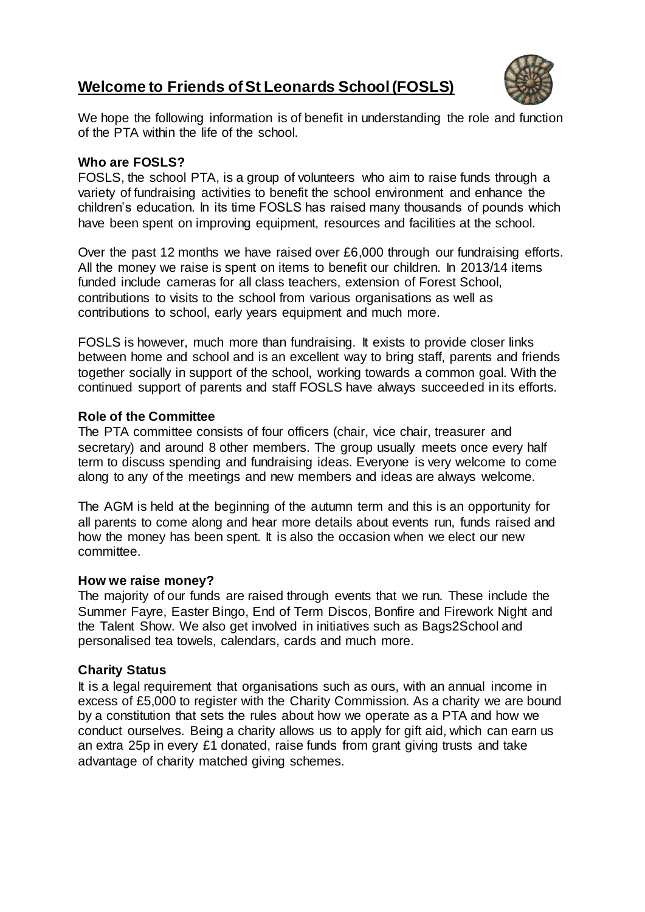# **Welcome to Friends of St Leonards School (FOSLS)**



We hope the following information is of benefit in understanding the role and function of the PTA within the life of the school.

## **Who are FOSLS?**

FOSLS, the school PTA, is a group of volunteers who aim to raise funds through a variety of fundraising activities to benefit the school environment and enhance the children's education. In its time FOSLS has raised many thousands of pounds which have been spent on improving equipment, resources and facilities at the school.

Over the past 12 months we have raised over £6,000 through our fundraising efforts. All the money we raise is spent on items to benefit our children. In 2013/14 items funded include cameras for all class teachers, extension of Forest School, contributions to visits to the school from various organisations as well as contributions to school, early years equipment and much more.

FOSLS is however, much more than fundraising. It exists to provide closer links between home and school and is an excellent way to bring staff, parents and friends together socially in support of the school, working towards a common goal. With the continued support of parents and staff FOSLS have always succeeded in its efforts.

### **Role of the Committee**

The PTA committee consists of four officers (chair, vice chair, treasurer and secretary) and around 8 other members. The group usually meets once every half term to discuss spending and fundraising ideas. Everyone is very welcome to come along to any of the meetings and new members and ideas are always welcome.

The AGM is held at the beginning of the autumn term and this is an opportunity for all parents to come along and hear more details about events run, funds raised and how the money has been spent. It is also the occasion when we elect our new committee.

#### **How we raise money?**

The majority of our funds are raised through events that we run. These include the Summer Fayre, Easter Bingo, End of Term Discos, Bonfire and Firework Night and the Talent Show. We also get involved in initiatives such as Bags2School and personalised tea towels, calendars, cards and much more.

## **Charity Status**

It is a legal requirement that organisations such as ours, with an annual income in excess of £5,000 to register with the Charity Commission. As a charity we are bound by a constitution that sets the rules about how we operate as a PTA and how we conduct ourselves. Being a charity allows us to apply for gift aid, which can earn us an extra 25p in every £1 donated, raise funds from grant giving trusts and take advantage of charity matched giving schemes.